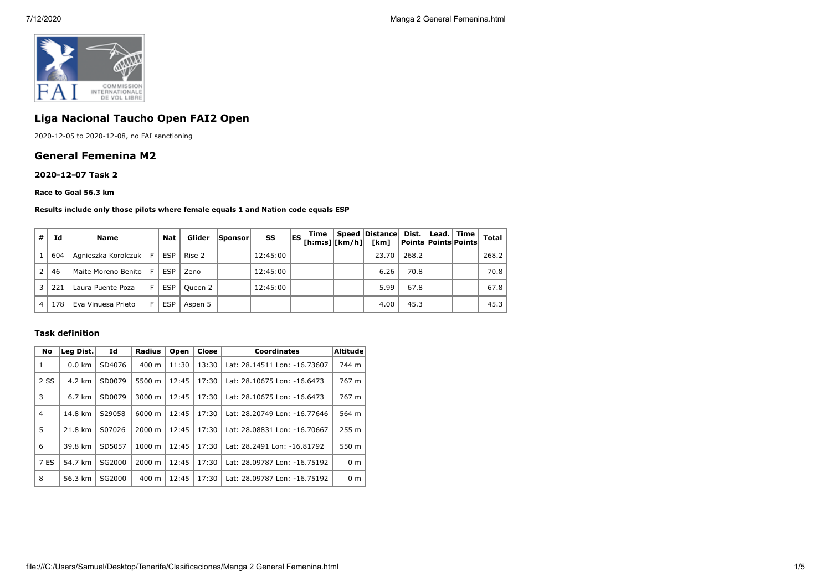

# **Liga Nacional Taucho Open FAI2 Open**

2020-12-05 to 2020-12-08, no FAI sanctioning

## **General Femenina M2**

### **2020-12-07 Task 2**

#### **Race to Goal 56.3 km**

#### **Results include only those pilots where female equals 1 and Nation code equals ESP**

| # | Ιd  | Name                    |     | Nat        | Glider  | Sponsor | SS       | <b>IES</b> | Time<br>$^{\prime} $ [h:m:s] $ $ [km/h] $ $ | Speed Distance Dist.   Lead.   Time<br>[km] | <b>Points Points Points</b> |  | <b>Total</b> |
|---|-----|-------------------------|-----|------------|---------|---------|----------|------------|---------------------------------------------|---------------------------------------------|-----------------------------|--|--------------|
|   | 604 | Agnieszka Korolczuk   F |     | ESP        | Rise 2  |         | 12:45:00 |            |                                             | 23.70                                       | 268.2                       |  | 268.2        |
|   | 46  | Maite Moreno Benito     | - F | <b>ESP</b> | Zeno    |         | 12:45:00 |            |                                             | 6.26                                        | 70.8                        |  | 70.8         |
| 3 | 221 | Laura Puente Poza       |     | <b>ESP</b> | Queen 2 |         | 12:45:00 |            |                                             | 5.99                                        | 67.8                        |  | 67.8         |
|   | 178 | Eva Vinuesa Prieto      |     | <b>ESP</b> | Aspen 5 |         |          |            |                                             | 4.00                                        | 45.3                        |  | 45.3         |

## **Task definition**

| No             | Leg Dist.        | Id     | <b>Radius</b>      | Open  | Close | <b>Coordinates</b>           | <b>Altitude</b>  |
|----------------|------------------|--------|--------------------|-------|-------|------------------------------|------------------|
| 1              | $0.0$ km         | SD4076 | $400 \text{ m}$    | 11:30 | 13:30 | Lat: 28.14511 Lon: -16.73607 | 744 m            |
| 2 SS           | 4.2 km           | SD0079 | 5500 m             | 12:45 | 17:30 | Lat: 28.10675 Lon: -16.6473  | 767 m            |
| 3              | $6.7 \text{ km}$ | SD0079 | $3000 \; \text{m}$ | 12:45 | 17:30 | Lat: 28.10675 Lon: -16.6473  | 767 m            |
| $\overline{4}$ | 14.8 km          | S29058 | 6000 m             | 12:45 | 17:30 | Lat: 28.20749 Lon: -16.77646 | 564 m            |
| 5              | 21.8 km          | S07026 | $2000 \; m$        | 12:45 | 17:30 | Lat: 28.08831 Lon: -16.70667 | 255 <sub>m</sub> |
| 6              | 39.8 km          | SD5057 | $1000 \;{\rm m}$   | 12:45 | 17:30 | Lat: 28.2491 Lon: -16.81792  | 550 m            |
| 7 ES           | 54.7 km          | SG2000 | $2000 \; m$        | 12:45 | 17:30 | Lat: 28.09787 Lon: -16.75192 | 0 <sub>m</sub>   |
| 8              | 56.3 km          | SG2000 | $400 \text{ m}$    | 12:45 | 17:30 | Lat: 28.09787 Lon: -16.75192 | 0 <sub>m</sub>   |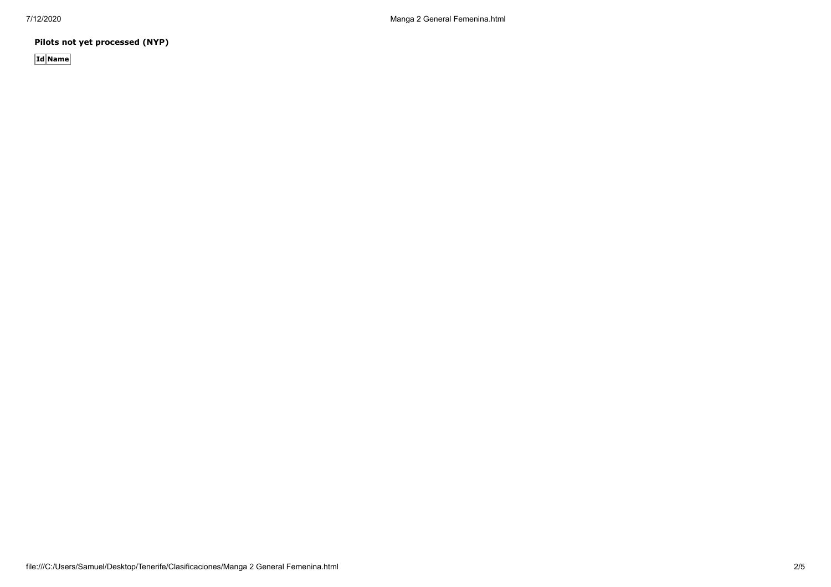**Pilots not yet processed (NYP)**

**Id Name**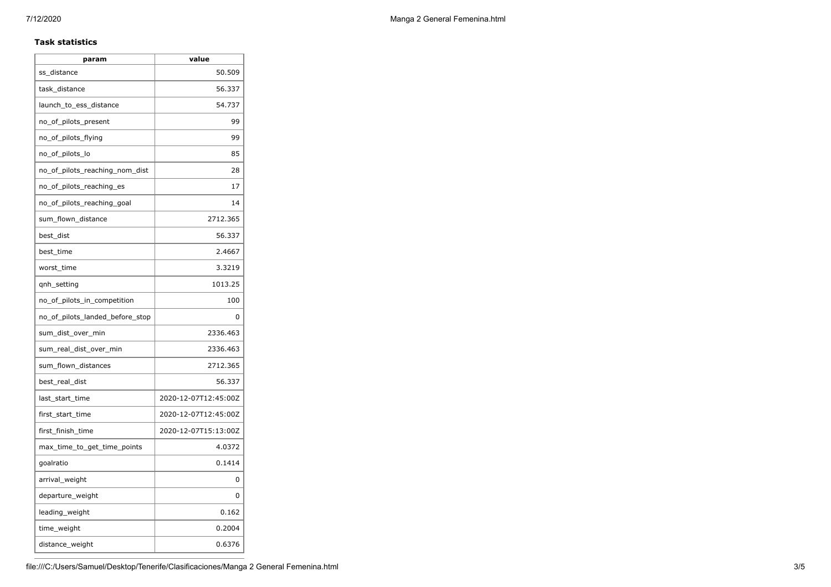## **Task statistics**

| param                           | value                |
|---------------------------------|----------------------|
| ss_distance                     | 50.509               |
| task_distance                   | 56.337               |
| launch to ess distance          | 54.737               |
| no_of_pilots_present            | 99                   |
| no_of_pilots_flying             | 99                   |
| no_of_pilots_lo                 | 85                   |
| no_of_pilots_reaching_nom_dist  | 28                   |
| no of pilots reaching es        | 17                   |
| no_of_pilots_reaching_goal      | 14                   |
| sum_flown_distance              | 2712.365             |
| best_dist                       | 56.337               |
| best_time                       | 2.4667               |
| worst_time                      | 3.3219               |
| qnh_setting                     | 1013.25              |
| no_of_pilots_in_competition     | 100                  |
| no of pilots landed before stop | 0                    |
| sum_dist_over_min               | 2336.463             |
| sum_real_dist_over_min          | 2336.463             |
| sum_flown_distances             | 2712.365             |
| best_real_dist                  | 56.337               |
| last_start_time                 | 2020-12-07T12:45:00Z |
| first_start_time                | 2020-12-07T12:45:00Z |
| first_finish_time               | 2020-12-07T15:13:00Z |
| max_time_to_get_time_points     | 4.0372               |
| goalratio                       | 0.1414               |
| arrival_weight                  | 0                    |
| departure_weight                | 0                    |
| leading_weight                  | 0.162                |
| time_weight                     | 0.2004               |
| distance_weight                 | 0.6376               |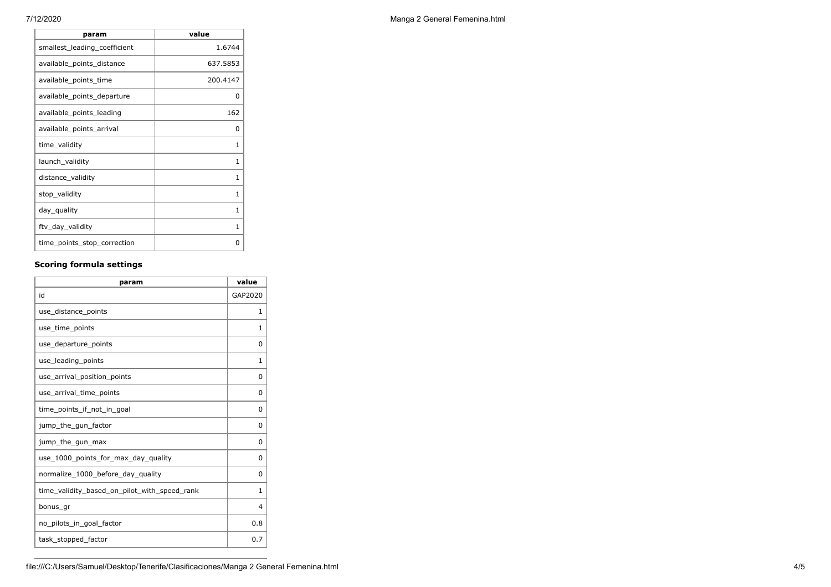| param                        | value    |
|------------------------------|----------|
| smallest_leading_coefficient | 1.6744   |
| available_points_distance    | 637.5853 |
| available_points_time        | 200.4147 |
| available_points_departure   | ŋ        |
| available points leading     | 162      |
| available_points_arrival     | 0        |
| time_validity                | 1        |
| launch_validity              | 1        |
| distance_validity            | 1        |
| stop_validity                | 1        |
| day_quality                  | 1        |
| ftv_day_validity             | 1        |
| time_points_stop_correction  | O        |

## **Scoring formula settings**

| param                                        | value    |
|----------------------------------------------|----------|
| id                                           | GAP2020  |
| use_distance_points                          | 1        |
| use_time_points                              | 1        |
| use_departure_points                         | 0        |
| use_leading_points                           | 1        |
| use_arrival_position_points                  | $\Omega$ |
| use_arrival_time_points                      | 0        |
| time points if not in goal                   | 0        |
| jump_the_gun_factor                          | 0        |
| jump_the_gun_max                             | 0        |
| use 1000 points for max day quality          | 0        |
| normalize_1000_before_day_quality            | 0        |
| time_validity_based_on_pilot_with_speed_rank | 1        |
| bonus_gr                                     | 4        |
| no_pilots_in_goal_factor                     | 0.8      |
| task_stopped_factor                          | 0.7      |